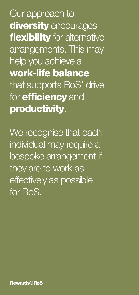Our approach to diversity encourages flexibility for alternative arrangements. This may help you achieve a work-life balance that supports RoS' drive for **efficiency** and productivity.

We recognise that each individual may require a bespoke arrangement if they are to work as effectively as possible for RoS.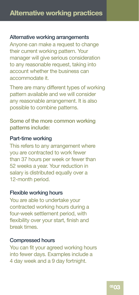#### Alternative working arrangements

Anyone can make a request to change their current working pattern. Your manager will give serious consideration to any reasonable request, taking into account whether the business can accommodate it.

There are many different types of working pattern available and we will consider any reasonable arrangement. It is also possible to combine patterns.

# Some of the more common working patterns include:

### Part-time working

This refers to any arrangement where you are contracted to work fewer than 37 hours per week or fewer than 52 weeks a year. Your reduction in salary is distributed equally over a 12-month period.

#### Flexible working hours

You are able to undertake your contracted working hours during a four-week settlement period, with flexibility over your start, finish and break times.

#### Compressed hours

You can fit your agreed working hours into fewer days. Examples include a 4 day week and a 9 day fortnight.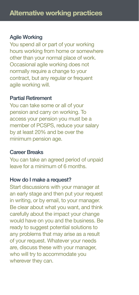## Agile Working

You spend all or part of your working hours working from home or somewhere other than your normal place of work. Occasional agile working does not normally require a change to your contract, but any regular or frequent agile working will.

#### Partial Retirement

You can take some or all of your pension and carry on working. To access your pension you must be a member of PCSPS, reduce your salary by at least 20% and be over the minimum pension age.

## Career Breaks

You can take an agreed period of unpaid leave for a minimum of 6 months.

#### How do I make a request?

Start discussions with your manager at an early stage and then put your request in writing, or by email, to your manager. Be clear about what you want, and think carefully about the impact your change would have on you and the business. Be ready to suggest potential solutions to any problems that may arise as a result of your request. Whatever your needs are, discuss these with your manager, who will try to accommodate you wherever they can.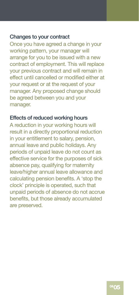#### Changes to your contract

Once you have agreed a change in your working pattern, your manager will arrange for you to be issued with a new contract of employment. This will replace your previous contract and will remain in effect until cancelled or modified either at your request or at the request of your manager. Any proposed change should be agreed between you and your manager.

### Effects of reduced working hours

A reduction in your working hours will result in a directly proportional reduction in your entitlement to salary, pension, annual leave and public holidays. Any periods of unpaid leave do not count as effective service for the purposes of sick absence pay, qualifying for maternity leave/higher annual leave allowance and calculating pension benefits. A 'stop the clock' principle is operated, such that unpaid periods of absence do not accrue benefits, but those already accumulated are preserved.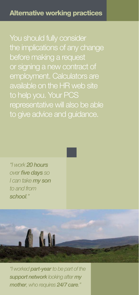You should fully consider the implications of any change before making a request or signing a new contract of employment. Calculators are available on the HR web site to help you. Your PCS representative will also be able to give advice and guidance.

"I work 20 hours over five days so I can take my son to and from school."



"I worked part-year to be part of the support network looking after my mother, who requires 24/7 care."